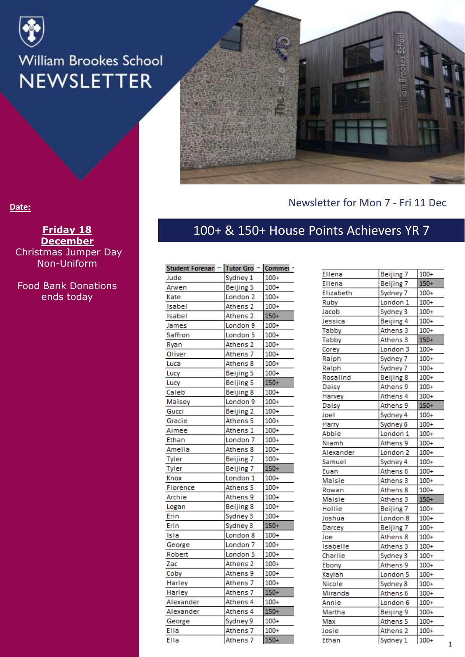



#### Newsletter for Mon 7 - Fri 11 Dec

#### **Date:**

**Friday 18 December** Christmas Jumper Day Non-Uniform

Food Bank Donations ends today

#### 100+ & 150+ House Points Achievers YR 7

| Student Forenan - Tutor Gro - Commer - |                     |        |
|----------------------------------------|---------------------|--------|
| Jude                                   | Sydney 1            | $100+$ |
| Arwen                                  | Beijing 5           | $100+$ |
| Kate                                   | London <sub>2</sub> | $100+$ |
| Isabel                                 | Athens <sub>2</sub> | $100+$ |
| Isabel                                 | Athens 2            | $150+$ |
| James                                  | London 9            | 100+   |
| Saffron                                | London <sub>5</sub> | $100+$ |
| Ryan                                   | Athens <sub>2</sub> | $100+$ |
| Oliver                                 | Athens 7            | $100+$ |
| Luca                                   | Athens 8            | $100+$ |
| Lucy                                   | Beijing 5           | $100+$ |
| Lucy                                   | Beijing 5           | $150+$ |
| Caleb                                  | Beijing 8           | $100+$ |
| Maisey                                 | London 9            | $100+$ |
| Gucci                                  | Beijing 2           | $100+$ |
| Gracie                                 | Athens 5            | $100+$ |
| Aimee                                  | Athens 1            | $100+$ |
| Ethan                                  | London <sub>7</sub> | $100+$ |
| Amelia                                 | Athens 8            | $100+$ |
| <b>Tyler</b>                           | Beijing 7           | $100+$ |
| Tyler                                  | Beijing 7           | $150+$ |
| Knox                                   | London 1            | $100+$ |
| Florence                               | Athens 5            | $100+$ |
| Archie                                 | Athens 9            | $100+$ |
| Logan                                  | Beijing 8           | $100+$ |
| Erin                                   | Sydney 3            | $100+$ |
| Erin                                   | Sydney 3            | $150+$ |
| Isla                                   | London <sub>8</sub> | $100+$ |
| George                                 | London <sub>7</sub> | $100+$ |
| Robert                                 | London <sub>5</sub> | $100+$ |
| Zac                                    | Athens <sub>2</sub> | $100+$ |
| Coby                                   | Athens 9            | 100+   |
| Harley                                 | Athens 7            | $100+$ |
| Harley                                 | Athens 7            | $150+$ |
| Alexander                              | Athens 4            | $100+$ |
| Alexander                              | Athens 4            | $150+$ |
| George                                 | Sydney 9            | $100+$ |
| Ella                                   | Athens 7            | $100+$ |
| Ella                                   | Athens 7            | $150+$ |

| Ellena    | <b>Beijing 7</b>    | $100+$ |
|-----------|---------------------|--------|
| Ellena    | Beijing 7           | $150+$ |
| Elizabeth | Sydney 7            | $100+$ |
| Ruby      | London 1            | $100+$ |
| Jacob     | Sydney 3            | $100+$ |
| lessica   | Beijing 4           | $100+$ |
| Tabby     | Athens 3            | $100+$ |
| Tabby     | Athens 3            | $150+$ |
| Corey     | London <sub>3</sub> | $100+$ |
| Raiph     | Sydney 7            | $100+$ |
| Ralph     | Sydney 7            | $100+$ |
| Rosalind  | Beijing 8           | $100+$ |
| Daisy     | Athens 9            | $100+$ |
| Harvey    | Athens 4            | $100+$ |
| Daisy     | Athens 9            | $150+$ |
| loel      | Sydney 4            | $100+$ |
| Harry     | Sydney 6            | $100+$ |
| Abbie     | London 1            | $100+$ |
| Niamh     | Athens 9            | $100+$ |
| Alexander | London <sub>2</sub> | $100+$ |
| Samuel    | Sydney 4            | $100+$ |
| Euan      | Athens 6            | $100+$ |
| Maisie    | Athens 3            | $100+$ |
| Rowan     | Athens 8            | $100+$ |
| Maisie    | Athens 3            | $150+$ |
| Hollie    | Beijing 7           | $100+$ |
| Joshua    | London <sub>8</sub> | $100+$ |
| Darcey    | Beijing 7           | $100+$ |
| Joe       | Athens 8            | $100+$ |
| Isabelle  | Athens 3            | $100+$ |
| Charlie   | Sydney 3            | $100+$ |
| Ebony     | Athens 9            | $100+$ |
| Kaylah    | London <sub>5</sub> | $100+$ |
| Nicole    | Sydney 8            | $100+$ |
| Miranda   | Athens 6            | $100+$ |
| Annie     | London 6            | $100+$ |
| Martha    | Beijing 9           | $100+$ |
| Max       | Athens 5            | $100+$ |
| Josie     | Athens <sub>2</sub> | $100+$ |
| Ethan     | Sydney 1            | $100+$ |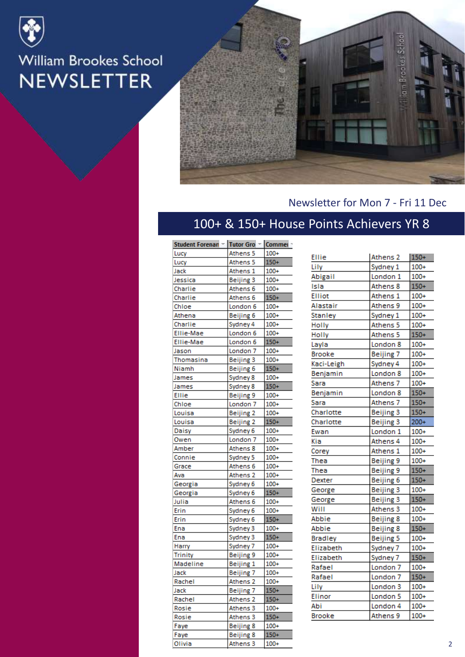



#### Newsletter for Mon 7 - Fri 11 Dec

#### 100+ & 150+ House Points Achievers YR 8

| Student Forenan - | Tutor Gro ~ Commei ~ |        |
|-------------------|----------------------|--------|
| Lucy              | Athens 5             | $100+$ |
| Lucy              | Athens 5             | $150+$ |
| Jack              | Athens 1             | $100+$ |
| Jessica           | Beijing 3            | $100+$ |
| Charlie           | Athens 6             | $100+$ |
| Charlie           | Athens 6             | $150+$ |
| Chloe             | London <sub>6</sub>  | $100+$ |
| Athena            | Beijing 6            | $100+$ |
| Charlie           | Sydney 4             | $100+$ |
| <b>Ellie-Mae</b>  | London 6             | $100+$ |
| Ellie-Mae         | London 6             | $150+$ |
| Jason             | London <sub>7</sub>  | $100+$ |
| Thomasina         | Beijing 3            | $100+$ |
| Niamh             | Beijing 6            | $150+$ |
| James             | Sydney 8             | $100+$ |
| James             | Sydney 8             | $150+$ |
| <b>Ellie</b>      | Beijing 9            | $100+$ |
| Chloe             | London <sub>7</sub>  | $100+$ |
| Louisa            | Beijing 2            | $100+$ |
| Louisa            | Beijing 2            | $150+$ |
| Daisy             | Sydney 6             | $100+$ |
| Owen              | London <sub>7</sub>  | $100+$ |
| Amber             | Athens 8             | $100+$ |
| Connie            | Sydney 5             | $100+$ |
| Grace             | Athens 6             | $100+$ |
| Ava               | Athens <sub>2</sub>  | $100+$ |
| Georgia           | Sydney 6             | $100+$ |
| Georgia           | Sydney 6             | $150+$ |
| Julia             | Athens 6             | $100+$ |
| Erin              | Sydney 6             | $100+$ |
| Erin              | Sydney 6             | $150+$ |
| Ena               | Sydney 3             | $100+$ |
| Ena               | Sydney 3             | $150+$ |
| Harry             | Sydney 7             | $100+$ |
| <b>Trinity</b>    | Beijing 9            | $100+$ |
| Madeline          | Beijing 1            | $100+$ |
| Jack              | Beijing 7            | $100+$ |
| Rachel            | Athens <sub>2</sub>  | $100+$ |
| Jack              | Beijing 7            | $150+$ |
| Rachel            | Athens 2             | $150+$ |
| Rosie             | Athens 3             | $100+$ |
| Rosie             | Athens 3             | $150+$ |
| Faye              | Beijing 8            | $100+$ |
| Faye              | Beijing 8            | $150+$ |
| Olivia            | Athens 3             | $100+$ |

| Ellie          | Athens 2            | $150+$ |
|----------------|---------------------|--------|
| Lily           | Sydney 1            | $100+$ |
| Abigail        | London 1            | $100+$ |
| Isla           | Athens 8            | $150+$ |
| <b>Elliot</b>  | Athens 1            | $100+$ |
| Alastair       | Athens 9            | $100+$ |
| Stanley        | Sydney 1            | $100+$ |
| Holly          | Athens 5            | $100+$ |
| Holly          | Athens 5            | $150+$ |
| Layla          | London 8            | $100+$ |
| Brooke         | Beijing 7           | $100+$ |
| Kaci-Leigh     | Sydney 4            | $100+$ |
| Benjamin       | London <sub>8</sub> | $100+$ |
| Sara           | Athens 7            | $100+$ |
| Benjamin       | London <sub>8</sub> | $150+$ |
| Sara           | Athens 7            | $150+$ |
| Charlotte      | Beijing 3           | $150+$ |
| Charlotte      | Beijing 3           | $200+$ |
| Ewan           | London 1            | $100+$ |
| Kia            | Athens 4            | $100+$ |
| Corey          | Athens 1            | $100+$ |
| Thea           | <b>Beijing 9</b>    | $100+$ |
| Thea           | Beijing 9           | $150+$ |
| Dexter         | Beijing 6           | $150+$ |
| George         | Beijing 3           | $100+$ |
| George         | Beijing 3           | $150+$ |
| Will           | Athens 3            | $100+$ |
| Abbie          | Beijing 8           | $100+$ |
| Abbie          | Beijing 8           | $150+$ |
| <b>Bradley</b> | <b>Beijing 5</b>    | $100+$ |
| Elizabeth      | Sydney 7            | $100+$ |
| Elizabeth      | Sydney 7            | $150+$ |
| Rafael         | London <sub>7</sub> | $100+$ |
| Rafael         | London <sub>7</sub> | $150+$ |
| Lily           | London <sub>3</sub> | $100+$ |
| Elinor         | London <sub>5</sub> | $100+$ |
| Abi            | London 4            | $100+$ |
| Brooke         | Athens 9            | $100+$ |
|                |                     |        |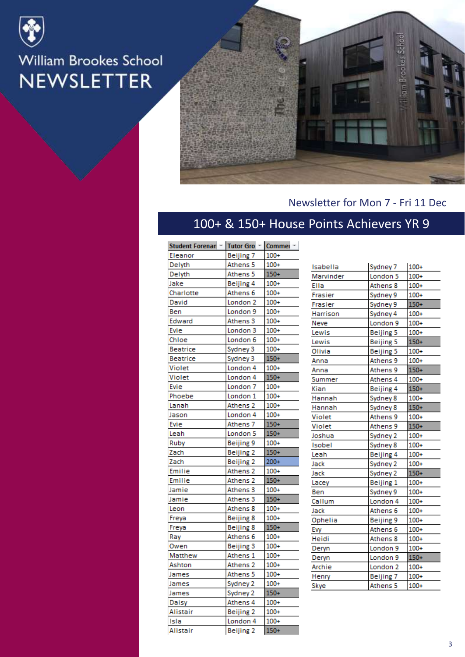



#### Newsletter for Mon 7 - Fri 11 Dec

#### 100+ & 150+ House Points Achievers YR 9

| Student Forenan ~ Tutor Gro ~ Commer ~ |                     |        |
|----------------------------------------|---------------------|--------|
| Eleanor                                | Beijing 7           | $100+$ |
| Delyth                                 | Athens 5            | $100+$ |
| Delyth                                 | Athens 5            | $150+$ |
| Jake                                   | Beijing 4           | $100+$ |
| Charlotte                              | Athens 6            | $100+$ |
| David                                  | London <sub>2</sub> | $100+$ |
| Ben                                    | London 9            | $100+$ |
| Edward                                 | Athens 3            | $100+$ |
| <b>Evie</b>                            | London <sub>3</sub> | $100+$ |
| Chloe                                  | London 6            | $100+$ |
| Beatrice                               | Sydney 3            | $100+$ |
| <b>Beatrice</b>                        | Sydney 3            | $150+$ |
| Violet                                 | London 4            | $100+$ |
| Violet                                 | London 4            | $150+$ |
| Evie                                   | London <sub>7</sub> | $100+$ |
| Phoebe                                 | London 1            | $100+$ |
| Lanah                                  | Athens 2            | $100+$ |
| Jason                                  | London 4            | $100+$ |
| Evie                                   | Athens 7            | $150+$ |
| Leah                                   | London 5            | $150+$ |
| Ruby                                   | Beijing 9           | $100+$ |
| Zach                                   | Beijing 2           | $150+$ |
| Zach                                   | Beijing 2           | 200+   |
| Emilie                                 | Athens 2            | $100+$ |
| Emilie                                 | Athens 2            | $150+$ |
| Jamie                                  | Athens 3            | $100+$ |
| Jamie                                  | Athens 3            | $150+$ |
| Leon                                   | Athens 8            | $100+$ |
| Freya                                  | Beijing 8           | $100+$ |
| Freya                                  | Beijing 8           | $150+$ |
| Ray                                    | Athens 6            | $100+$ |
| Owen                                   | Beijing 3           | $100+$ |
| Matthew                                | Athens 1            | $100+$ |
| Ashton                                 | Athens <sub>2</sub> | $100+$ |
| James                                  | Athens 5            | $100+$ |
| James                                  | Sydney 2            | $100+$ |
| James                                  | Sydney 2            | $150+$ |
| Daisy                                  | Athens 4            | $100+$ |
| Alistair                               | Beijing 2           | $100+$ |
| Isla                                   | London 4            | $100+$ |
| Alistair                               | Beiiing 2           | $150+$ |

| Isabella      | Sydney 7            | $100+$ |
|---------------|---------------------|--------|
| Marvinder     | London <sub>5</sub> | $100+$ |
| Ella          | Athens 8            | $100+$ |
| Frasier       | Sydney 9            | $100+$ |
| Frasier       | Sydney 9            | $150+$ |
| Harrison      | Sydney 4            | $100+$ |
| Neve          | London 9            | $100+$ |
| Lewis         | Beijing 5           | $100+$ |
| Lewis         | Beijing 5           | $150+$ |
| Olivia        | Beijing 5           | $100+$ |
| Anna          | Athens 9            | $100+$ |
| Anna          | Athens 9            | $150+$ |
| Summer        | Athens 4            | $100+$ |
| Kian          | Beijing 4           | $150+$ |
| Hannah        | Sydney 8            | $100+$ |
| Hannah        | Sydney 8            | $150+$ |
| Violet        | Athens 9            | $100+$ |
| <b>Violet</b> | Athens 9            | $150+$ |
| Joshua        | Sydney 2            | $100+$ |
| Isobel        | Sydney 8            | $100+$ |
| Leah          | Beijing 4           | $100+$ |
| Jack          | Sydney 2            | $100+$ |
| Jack          | Sydney 2            | $150+$ |
| Lacey         | Beijing 1           | $100+$ |
| <b>Ben</b>    | Sydney 9            | $100+$ |
| Callum        | London 4            | $100+$ |
| Jack          | Athens 6            | $100+$ |
| Ophelia       | Beijing 9           | $100+$ |
| Evy           | Athens 6            | $100+$ |
| Heidi         | Athens 8            | $100+$ |
| Deryn         | London 9            | $100+$ |
| Deryn         | London <sub>9</sub> | $150+$ |
| Archie        | London <sub>2</sub> | $100+$ |
| Henry         | Beijing 7           | $100+$ |
| Skye          | Athens 5            | $100+$ |
|               |                     |        |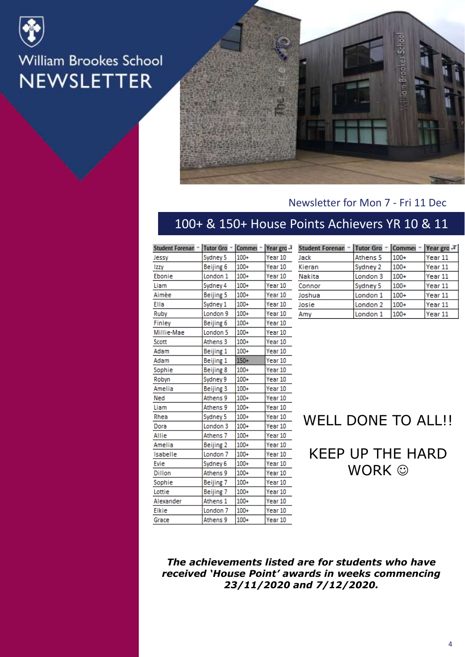



#### Newsletter for Mon 7 - Fri 11 Dec

#### 100+ & 150+ House Points Achievers YR 10 & 11

| Student Forenan - | Tutor Gro → Commei → Year gro J |        |         |
|-------------------|---------------------------------|--------|---------|
| Jessy             | Sydney 5                        | $100+$ | Year 10 |
| Izzy              | Beijing 6                       | $100+$ | Year 10 |
| Ebonie            | London 1                        | $100+$ | Year 10 |
| Liam              | Sydney 4                        | $100+$ | Year 10 |
| Aimèe             | Beijing 5                       | $100+$ | Year 10 |
| Ella              | Sydney 1                        | $100+$ | Year 10 |
| Ruby              | London <sub>9</sub>             | $100+$ | Year 10 |
| Finley            | Beijing 6                       | $100+$ | Year 10 |
| Millie-Mae        | London <sub>5</sub>             | $100+$ | Year 10 |
| Scott             | Athens <sub>3</sub>             | $100+$ | Year 10 |
| Adam              | Beijing 1                       | $100+$ | Year 10 |
| Adam              | Beijing 1                       | $150+$ | Year 10 |
| Sophie            | Beijing 8                       | $100+$ | Year 10 |
| Robyn             | Sydney 9                        | $100+$ | Year 10 |
| Amelia            | Beijing 3                       | $100+$ | Year 10 |
| Ned               | Athens 9                        | $100+$ | Year 10 |
| Liam              | Athens 9                        | $100+$ | Year 10 |
| Rhea              | Sydney 5                        | $100+$ | Year 10 |
| Dora              | London <sub>3</sub>             | $100+$ | Year 10 |
| Allie             | Athens <sub>7</sub>             | $100+$ | Year 10 |
| Amelia            | Beijing 2                       | $100+$ | Year 10 |
| Isabelle          | London <sub>7</sub>             | $100+$ | Year 10 |
| Evie              | Sydney 6                        | $100+$ | Year 10 |
| <b>Dillon</b>     | Athens 9                        | $100+$ | Year 10 |
| Sophie            | Beijing 7                       | $100+$ | Year 10 |
| Lottie            | Beijing 7                       | $100+$ | Year 10 |
| Alexander         | Athens 1                        | $100+$ | Year 10 |
| <b>Elkie</b>      | London <sub>7</sub>             | $100+$ | Year 10 |
| Grace             | Athens 9                        | $100+$ | Year 10 |

| Student Forenan ~ Tutor Gro ~ Commei ~ Year gro JT |                     |        |         |
|----------------------------------------------------|---------------------|--------|---------|
| Jack                                               | Athens 5            | $100+$ | Year 11 |
| Kieran                                             | Sydney 2            | $100+$ | Year 11 |
| <b>Nakita</b>                                      | London <sub>3</sub> | $100+$ | Year 11 |
| Connor                                             | Sydney 5            | $100+$ | Year 11 |
| Joshua                                             | London <sub>1</sub> | $100+$ | Year 11 |
| Josie                                              | London <sub>2</sub> | $100+$ | Year 11 |
| Amy                                                | London 1            | $100+$ | Year 11 |

#### WELL DONE TO ALL!!

KEEP UP THE HARD WORK  $\odot$ 

#### *The achievements listed are for students who have received 'House Point' awards in weeks commencing 23/11/2020 and 7/12/2020.*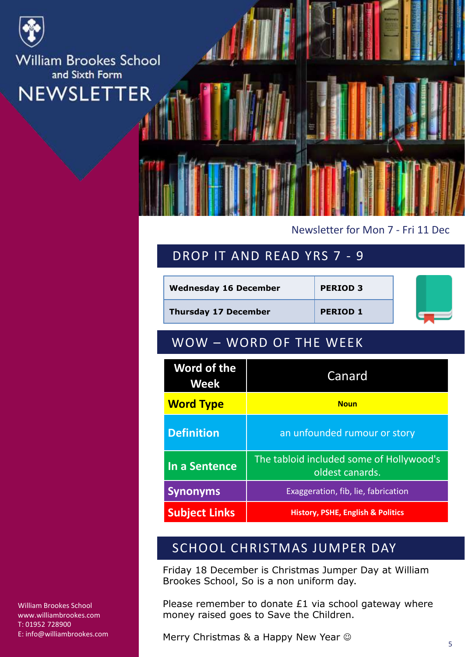

**William Brookes School** and Sixth Form **TER NEWSLET** 

#### Newsletter for Mon 7 - Fri 11 Dec

#### DROP IT AND READ YRS 7 - 9

| <b>Wednesday 16 December</b>      |                                                             | <b>PERIOD 3</b>              |  |
|-----------------------------------|-------------------------------------------------------------|------------------------------|--|
| <b>Thursday 17 December</b>       |                                                             | <b>PERIOD 1</b>              |  |
| WOW - WORD OF THE WEEK            |                                                             |                              |  |
| <b>Word of the</b><br><b>Week</b> |                                                             | Canard                       |  |
| <b>Word Type</b>                  | <b>Noun</b>                                                 |                              |  |
| <b>Definition</b>                 |                                                             | an unfounded rumour or story |  |
| In a Sentence                     | The tabloid included some of Hollywood's<br>oldest canards. |                              |  |
| <b>Synonyms</b>                   | Exaggeration, fib, lie, fabrication                         |                              |  |
| <b>Subject Links</b>              | <b>History, PSHE, English &amp; Politics</b>                |                              |  |

#### SCHOOL CHRISTMAS JUMPER DAY

Friday 18 December is Christmas Jumper Day at William Brookes School, So is a non uniform day.

Please remember to donate £1 via school gateway where money raised goes to Save the Children.

Merry Christmas & a Happy New Year  $\odot$ 

William Brookes School www.williambrookes.com T: 01952 728900 E: info@williambrookes.com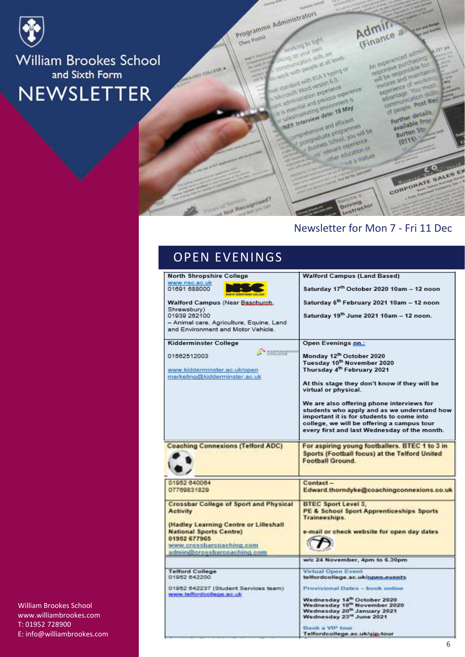

**William Brookes School** and Sixth Form **NEWSLETTER** 

Programme Administrators

**ONING ROAD Part Age Age**<br>All As Post Parts<br>All Age Age Age Age

coloration skills are<br>a short skills are<br>coloration skills will with propie at all broad of

a work with a SA II typing<br>E standard with a SA II typing<br>A strongly Word version experience

complete with version 6.0<br>crossit Word version 6.0<br>administration experience completed version of the most completed by the completed by the most completed by the most completed by the May<br>completed by the completed by the most completed by the most completed by entirely the May

and with escala formada

is Interview date: 18 May

**MEP. Interview date: 18 May**<br>MEP. Interview date: 18 May<br>MEP. Interview date: 18 May

P. Interview date: 16<br>P. Interview date: 16 elfosont

Business Shock Howen Business School Market of

the equation of them

ther education or education

**Driving**<br>Driving<br>Instructor

**Gwo Posta)** 

COLLEGE

Admin.

 $J23.0<sup>3</sup>$ An experienced adm An experienced administration will be responsible for<br>responsive purchasine for<br>will be responsible for invoice and maintains<br>will be responsible<br>invoices and maintain<br>invoices and viola experience of work<br>experience of work<br>experience you must words and of working sperience<br>advantage vous dramage<br>communication<br>of people post Red

**A Service** 

f people details Further detail available<br>Burton St

 $2110$ 

# CORPORATE SALES EX

ö

#### Newsletter for Mon 7 - Fri 11 Dec

#### OPEN EVENINGS

Not Recognised?

| North Shropshire College                                         | Walford Campus (Land Based)                           |
|------------------------------------------------------------------|-------------------------------------------------------|
| www.nsc.ac.uk                                                    |                                                       |
| 01691 688000                                                     | Saturday 17th October 2020 10am - 12 noon             |
| Walford Campus (Near Baschutch,                                  | Saturday 6 <sup>th</sup> February 2021 10am - 12 noon |
| Shrewsbury)                                                      |                                                       |
| 01939 262100                                                     | Saturday 19th June 2021 10am - 12 noon.               |
| - Animal care, Agriculture, Equine, Land                         |                                                       |
| and Environment and Motor Vehicle.                               |                                                       |
| Kidderminster College                                            | Open Evenings on:                                     |
| COLLEGE                                                          |                                                       |
| 01562512003                                                      | Monday 12th October 2020                              |
|                                                                  | Tuesday 10 <sup>th</sup> November 2020                |
| www.kidderminster.ac.uk/open                                     | Thursday 4 <sup>th</sup> February 2021                |
| marketing@kidderminster.ac.uk                                    |                                                       |
|                                                                  | At this stage they don't know if they will be         |
|                                                                  | virtual or physical.                                  |
|                                                                  |                                                       |
|                                                                  | We are also offering phone interviews for             |
|                                                                  | students who apply and as we understand how           |
|                                                                  | important it is for students to come into             |
|                                                                  | college, we will be offering a campus tour            |
|                                                                  | every first and last Wednesday of the month.          |
|                                                                  |                                                       |
| <b>Coaching Connexions (Telford ADC)</b>                         | For aspiring young footballers. BTEC 1 to 3 in        |
|                                                                  | Sports (Football focus) at the Telford United         |
|                                                                  | Football Ground.                                      |
|                                                                  |                                                       |
|                                                                  |                                                       |
| 01952 640084                                                     | Contact-                                              |
| 07769831829                                                      | Edward.thorndyke@coachingconnexions.co.uk             |
|                                                                  |                                                       |
| Crossbar College of Sport and Physical                           | <b>BTEC Sport Level 3.</b>                            |
| <b>Activity</b>                                                  | PE & School Sport Apprenticeships Sports              |
|                                                                  | Traineeships.                                         |
| (Hadley Learning Centre or Lilleshall                            |                                                       |
| <b>National Sports Centre)</b>                                   | e-mail or check website for open day dates            |
| 01952 677965                                                     |                                                       |
| www.crossbarcoaching.com                                         |                                                       |
| admin@crossbarcoaching.com                                       |                                                       |
|                                                                  | w/c 24 November, 4pm to 6.30pm                        |
| <b>Telford College</b>                                           | <b>Virtual Open Event</b>                             |
| 01952 642200                                                     | telfordcollege.ac.uk/open.events                      |
|                                                                  |                                                       |
| 01952 642237 (Student Services team)<br>www.telfordcollege.nc.uk | Provisional Dates - book online                       |
|                                                                  | Wednesday 14 <sup>th</sup> October 2020               |
|                                                                  | Wednesday 18 <sup>th</sup> November 2020              |
|                                                                  | Wednesday 20 <sup>th</sup> January 2021               |
|                                                                  | Wednesday 23" June 2021                               |
|                                                                  | Book a VIP tour                                       |
|                                                                  | Telfordcollege.ac.uk/vip-tour                         |
|                                                                  |                                                       |

William Brookes School www.williambrookes.com T: 01952 728900 E: info@williambrookes.com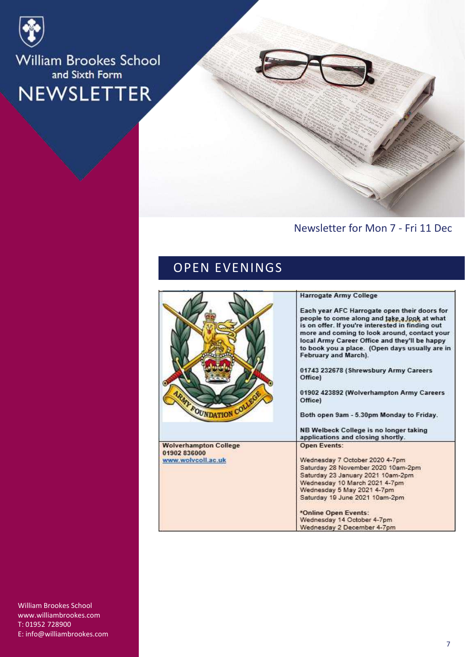

### William Brookes School and Sixth Form NEWSLETTER

#### Newsletter for Mon 7 - Fri 11 Dec

#### OPEN EVENINGS

| MY FOUNDATION COLLE                                                | <b>Harrogate Army College</b><br>Each year AFC Harrogate open their doors for<br>people to come along and take a look at what<br>is on offer. If you're interested in finding out<br>more and coming to look around, contact your<br>local Army Career Office and they'll be happy<br>to book you a place. (Open days usually are in<br>February and March).<br>01743 232678 (Shrewsbury Army Careers<br>Office)<br>01902 423892 (Wolverhampton Army Careers<br>Office)<br>Both open 9am - 5.30pm Monday to Friday.<br>NB Welbeck College is no longer taking<br>applications and closing shortly. |
|--------------------------------------------------------------------|----------------------------------------------------------------------------------------------------------------------------------------------------------------------------------------------------------------------------------------------------------------------------------------------------------------------------------------------------------------------------------------------------------------------------------------------------------------------------------------------------------------------------------------------------------------------------------------------------|
| <b>Wolverhampton College</b><br>01902 836000<br>www.wolvcoll.ac.uk | <b>Open Events:</b><br>Wednesday 7 October 2020 4-7pm<br>Saturday 28 November 2020 10am-2pm<br>Saturday 23 January 2021 10am-2pm<br>Wednesday 10 March 2021 4-7pm<br>Wednesday 5 May 2021 4-7pm<br>Saturday 19 June 2021 10am-2pm<br>*Online Open Events:<br>Wednesday 14 October 4-7pm<br>Wednesday 2 December 4-7pm                                                                                                                                                                                                                                                                              |

William Brookes School www.williambrookes.com T: 01952 728900 E: info@williambrookes.com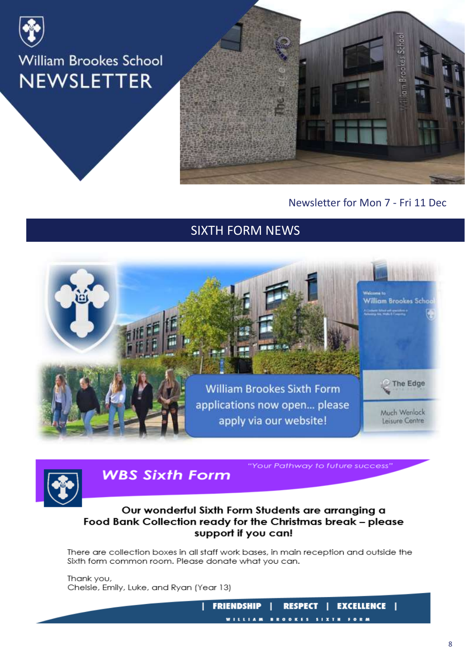



#### Newsletter for Mon 7 - Fri 11 Dec

#### SIXTH FORM NEWS





**WBS Sixth Form** 

"Your Pathway to future success"

#### Our wonderful Sixth Form Students are arranging a Food Bank Collection ready for the Christmas break - please support if you can!

There are collection boxes in all staff work bases, in main reception and outside the Sixth form common room. Please donate what you can.

Thank you, Chelsie, Emily, Luke, and Ryan (Year 13)

> **FRIENDSHIP EXCELLENCE | RESPECT**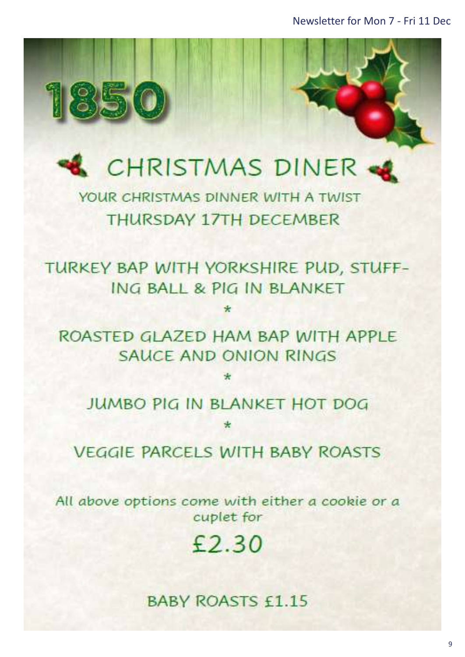Newsletter for Mon 7 - Fri 11 Dec



850

YOUR CHRISTMAS DINNER WITH A TWIST **THURSDAY 17TH DECEMBER** 

TURKEY BAP WITH YORKSHIRE PUD, STUFF-ING BALL & PIG IN BLANKET

ROASTED GLAZED HAM BAP WITH APPLE **SAUCE AND ONION RINGS** 

**JUMBO PIG IN BLANKET HOT DOG** 

**VEGGIE PARCELS WITH BABY ROASTS** 

All above options come with either a cookie or a cuplet for

 $£2.30$ 

**BABY ROASTS £1.15**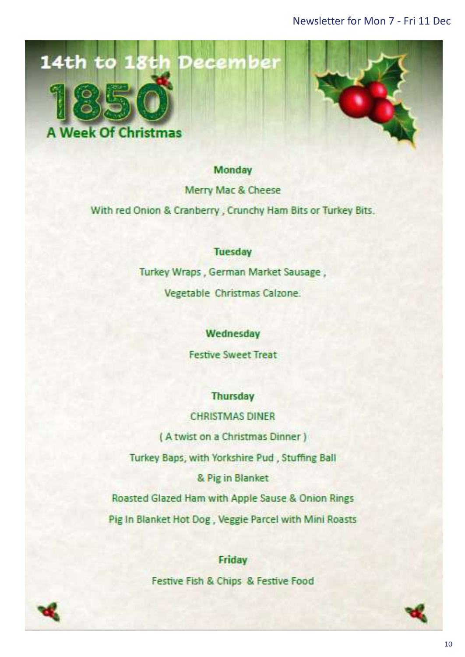



#### Monday

Merry Mac & Cheese

With red Onion & Cranberry, Crunchy Ham Bits or Turkey Bits.

#### **Tuesday**

Turkey Wraps, German Market Sausage,

Vegetable Christmas Calzone.

#### Wednesday

**Festive Sweet Treat** 

#### **Thursday**

**CHRISTMAS DINER** 

(A twist on a Christmas Dinner)

Turkey Baps, with Yorkshire Pud, Stuffing Ball

& Pig in Blanket

Roasted Glazed Ham with Apple Sause & Onion Rings Pig In Blanket Hot Dog, Veggie Parcel with Mini Roasts

> Friday Festive Fish & Chips & Festive Food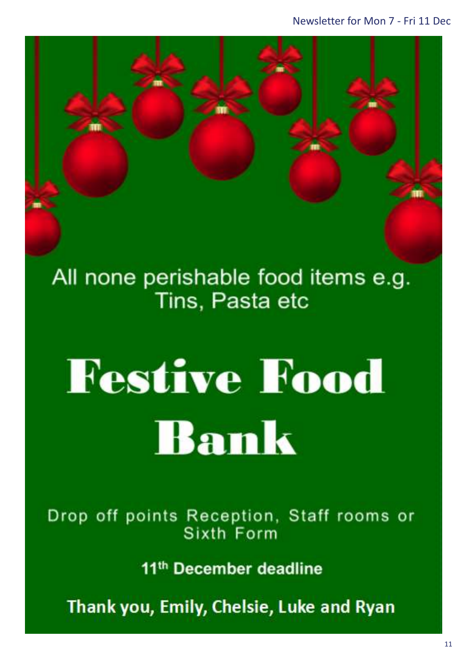All none perishable food items e.g. Tins, Pasta etc

Right click and select → Change Picture… to

add any posters sent in for the newsletter

# **Festive Food** Bank

Drop off points Reception, Staff rooms or Sixth Form

11<sup>th</sup> December deadline

Thank you, Emily, Chelsie, Luke and Ryan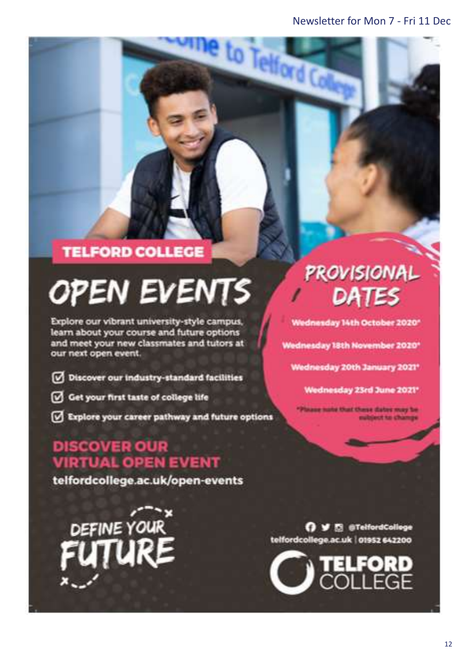to Telford C

#### **TELFORD COLLEGE**

# **OPEN EVENTS**

Explore our vibrant university-style campus, learn about your course and future options and meet your new classmates and tutors at our next open event.

- Discover our industry-standard facilities
- Get your first taste of college life
- Explore your career pathway and future options

#### **DISCOVER OUR VIRTUAL OPEN EVENT**

telfordcollege.ac.uk/open-events

DEFINE YOUR

## **PROVISIONAL** DATES

Wednesday 14th October 2020\*

Wednesday 18th November 2020\*

Wednesday 20th January 2021\*

Wednesday 23rd June 2021\*

aug nate that these dates may be ubject to change

O V El @TelfordCollege telfordcollege.ac.uk | 01952 642200

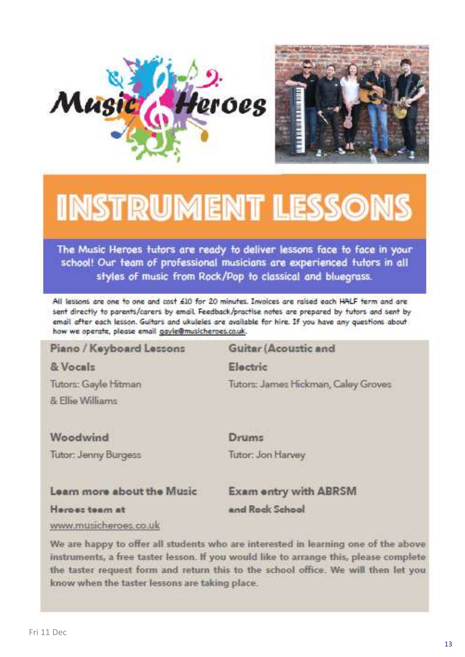



## **INSTRUMENT LESSONS**

The Music Heroes tutors are ready to deliver lessons face to face in your school! Our team of professional musicians are experienced tutors in all styles of music from Rock/Pop to classical and bluegrass.

All lessons are one to one and cost 610 for 20 minutes. Invoices are raised each HALF term and are sent directly to parents/carers by email. Feedback/practise notes are prepared by tutors and sent by email after each lesson. Guitars and ukuleles are available for hire. If you have any questions about how we operate, please email gayle@musicheroes.co.uk.

#### Piano / Keyboard Lessons Guitar (Acoustic and & Vocals Electric Tutors: Gayle Hitman Tutors: James Hickman, Caley Groves & Filip Williams Woodwind Drums Tutor: Jenny Burgess Tutor: Jon Harvey

#### Learn more about the Music

**Exam entry with ABRSM** 

Heroes team at

and Rock School

www.musicheroes.co.uk

We are happy to offer all students who are interested in learning one of the above instruments, a free taster lesson. If you would like to arrange this, please complete the taster request form and return this to the school office. We will then let you know when the taster lessons are taking place.